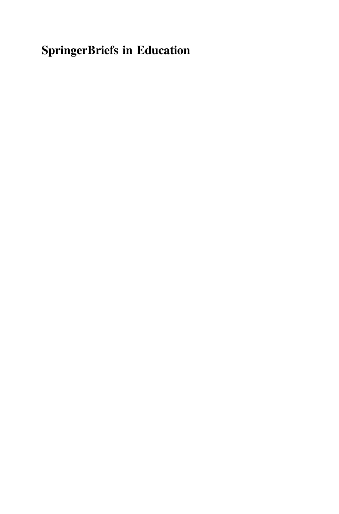## SpringerBriefs in Education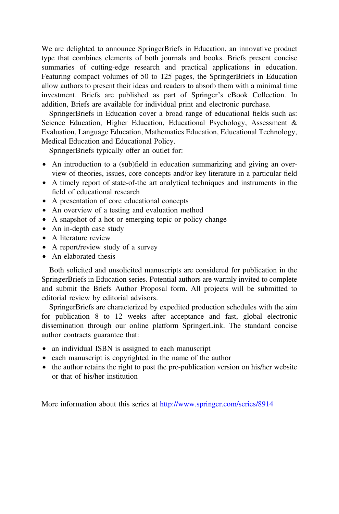We are delighted to announce SpringerBriefs in Education, an innovative product type that combines elements of both journals and books. Briefs present concise summaries of cutting-edge research and practical applications in education. Featuring compact volumes of 50 to 125 pages, the SpringerBriefs in Education allow authors to present their ideas and readers to absorb them with a minimal time investment. Briefs are published as part of Springer's eBook Collection. In addition, Briefs are available for individual print and electronic purchase.

SpringerBriefs in Education cover a broad range of educational fields such as: Science Education, Higher Education, Educational Psychology, Assessment & Evaluation, Language Education, Mathematics Education, Educational Technology, Medical Education and Educational Policy.

SpringerBriefs typically offer an outlet for:

- An introduction to a (sub)field in education summarizing and giving an overview of theories, issues, core concepts and/or key literature in a particular field
- A timely report of state-of-the art analytical techniques and instruments in the field of educational research
- A presentation of core educational concepts
- An overview of a testing and evaluation method
- A snapshot of a hot or emerging topic or policy change
- An in-depth case study
- A literature review
- A report/review study of a survey
- An elaborated thesis

Both solicited and unsolicited manuscripts are considered for publication in the SpringerBriefs in Education series. Potential authors are warmly invited to complete and submit the Briefs Author Proposal form. All projects will be submitted to editorial review by editorial advisors.

SpringerBriefs are characterized by expedited production schedules with the aim for publication 8 to 12 weeks after acceptance and fast, global electronic dissemination through our online platform SpringerLink. The standard concise author contracts guarantee that:

- an individual ISBN is assigned to each manuscript
- each manuscript is copyrighted in the name of the author
- the author retains the right to post the pre-publication version on his/her website or that of his/her institution

More information about this series at <http://www.springer.com/series/8914>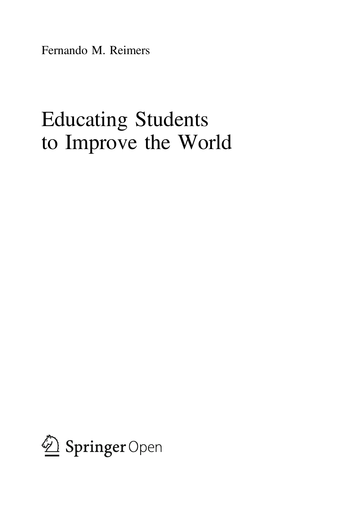Fernando M. Reimers

## Educating Students to Improve the World

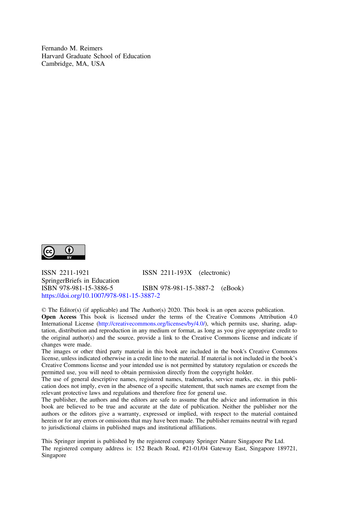Fernando M. Reimers Harvard Graduate School of Education Cambridge, MA, USA



ISSN 2211-1921 ISSN 2211-193X (electronic) SpringerBriefs in Education<br>ISBN 978-981-15-3886-5 ISBN 978-981-15-3887-2 (eBook) <https://doi.org/10.1007/978-981-15-3887-2>

© The Editor(s) (if applicable) and The Author(s) 2020. This book is an open access publication. Open Access This book is licensed under the terms of the Creative Commons Attribution 4.0 International License ([http://creativecommons.org/licenses/by/4.0/\)](http://creativecommons.org/licenses/by/4.0/), which permits use, sharing, adaptation, distribution and reproduction in any medium or format, as long as you give appropriate credit to the original author(s) and the source, provide a link to the Creative Commons license and indicate if changes were made.

The images or other third party material in this book are included in the book's Creative Commons license, unless indicated otherwise in a credit line to the material. If material is not included in the book's Creative Commons license and your intended use is not permitted by statutory regulation or exceeds the permitted use, you will need to obtain permission directly from the copyright holder.

The use of general descriptive names, registered names, trademarks, service marks, etc. in this publication does not imply, even in the absence of a specific statement, that such names are exempt from the relevant protective laws and regulations and therefore free for general use.

The publisher, the authors and the editors are safe to assume that the advice and information in this book are believed to be true and accurate at the date of publication. Neither the publisher nor the authors or the editors give a warranty, expressed or implied, with respect to the material contained herein or for any errors or omissions that may have been made. The publisher remains neutral with regard to jurisdictional claims in published maps and institutional affiliations.

This Springer imprint is published by the registered company Springer Nature Singapore Pte Ltd. The registered company address is: 152 Beach Road, #21-01/04 Gateway East, Singapore 189721, Singapore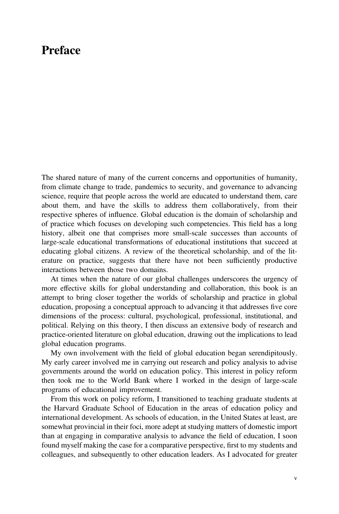## Preface

The shared nature of many of the current concerns and opportunities of humanity, from climate change to trade, pandemics to security, and governance to advancing science, require that people across the world are educated to understand them, care about them, and have the skills to address them collaboratively, from their respective spheres of influence. Global education is the domain of scholarship and of practice which focuses on developing such competencies. This field has a long history, albeit one that comprises more small-scale successes than accounts of large-scale educational transformations of educational institutions that succeed at educating global citizens. A review of the theoretical scholarship, and of the literature on practice, suggests that there have not been sufficiently productive interactions between those two domains.

At times when the nature of our global challenges underscores the urgency of more effective skills for global understanding and collaboration, this book is an attempt to bring closer together the worlds of scholarship and practice in global education, proposing a conceptual approach to advancing it that addresses five core dimensions of the process: cultural, psychological, professional, institutional, and political. Relying on this theory, I then discuss an extensive body of research and practice-oriented literature on global education, drawing out the implications to lead global education programs.

My own involvement with the field of global education began serendipitously. My early career involved me in carrying out research and policy analysis to advise governments around the world on education policy. This interest in policy reform then took me to the World Bank where I worked in the design of large-scale programs of educational improvement.

From this work on policy reform, I transitioned to teaching graduate students at the Harvard Graduate School of Education in the areas of education policy and international development. As schools of education, in the United States at least, are somewhat provincial in their foci, more adept at studying matters of domestic import than at engaging in comparative analysis to advance the field of education, I soon found myself making the case for a comparative perspective, first to my students and colleagues, and subsequently to other education leaders. As I advocated for greater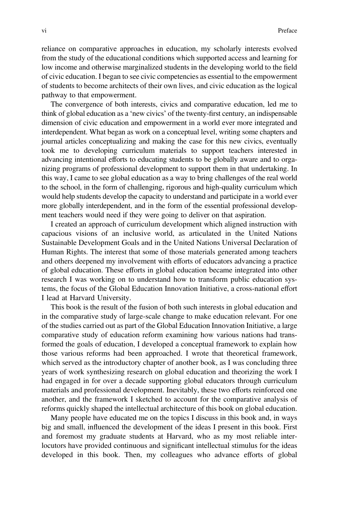reliance on comparative approaches in education, my scholarly interests evolved from the study of the educational conditions which supported access and learning for low income and otherwise marginalized students in the developing world to the field of civic education. I began to see civic competencies as essential to the empowerment of students to become architects of their own lives, and civic education as the logical pathway to that empowerment.

The convergence of both interests, civics and comparative education, led me to think of global education as a 'new civics' of the twenty-first century, an indispensable dimension of civic education and empowerment in a world ever more integrated and interdependent. What began as work on a conceptual level, writing some chapters and journal articles conceptualizing and making the case for this new civics, eventually took me to developing curriculum materials to support teachers interested in advancing intentional efforts to educating students to be globally aware and to organizing programs of professional development to support them in that undertaking. In this way, I came to see global education as a way to bring challenges of the real world to the school, in the form of challenging, rigorous and high-quality curriculum which would help students develop the capacity to understand and participate in a world ever more globally interdependent, and in the form of the essential professional development teachers would need if they were going to deliver on that aspiration.

I created an approach of curriculum development which aligned instruction with capacious visions of an inclusive world, as articulated in the United Nations Sustainable Development Goals and in the United Nations Universal Declaration of Human Rights. The interest that some of those materials generated among teachers and others deepened my involvement with efforts of educators advancing a practice of global education. These efforts in global education became integrated into other research I was working on to understand how to transform public education systems, the focus of the Global Education Innovation Initiative, a cross-national effort I lead at Harvard University.

This book is the result of the fusion of both such interests in global education and in the comparative study of large-scale change to make education relevant. For one of the studies carried out as part of the Global Education Innovation Initiative, a large comparative study of education reform examining how various nations had transformed the goals of education, I developed a conceptual framework to explain how those various reforms had been approached. I wrote that theoretical framework, which served as the introductory chapter of another book, as I was concluding three years of work synthesizing research on global education and theorizing the work I had engaged in for over a decade supporting global educators through curriculum materials and professional development. Inevitably, these two efforts reinforced one another, and the framework I sketched to account for the comparative analysis of reforms quickly shaped the intellectual architecture of this book on global education.

Many people have educated me on the topics I discuss in this book and, in ways big and small, influenced the development of the ideas I present in this book. First and foremost my graduate students at Harvard, who as my most reliable interlocutors have provided continuous and significant intellectual stimulus for the ideas developed in this book. Then, my colleagues who advance efforts of global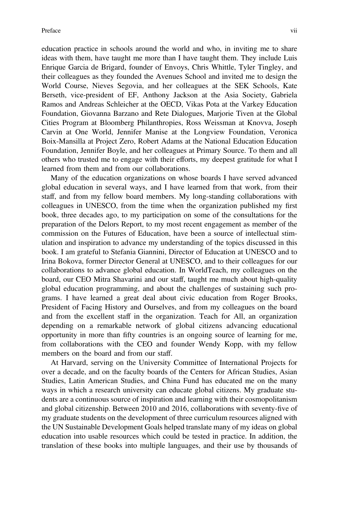education practice in schools around the world and who, in inviting me to share ideas with them, have taught me more than I have taught them. They include Luis Enrique Garcia de Brigard, founder of Envoys, Chris Whittle, Tyler Tingley, and their colleagues as they founded the Avenues School and invited me to design the World Course, Nieves Segovia, and her colleagues at the SEK Schools, Kate Berseth, vice-president of EF, Anthony Jackson at the Asia Society, Gabriela Ramos and Andreas Schleicher at the OECD, Vikas Pota at the Varkey Education Foundation, Giovanna Barzano and Rete Dialogues, Marjorie Tiven at the Global Cities Program at Bloomberg Philanthropies, Ross Weissman at Knovva, Joseph Carvin at One World, Jennifer Manise at the Longview Foundation, Veronica Boix-Mansilla at Project Zero, Robert Adams at the National Education Education Foundation, Jennifer Boyle, and her colleagues at Primary Source. To them and all others who trusted me to engage with their efforts, my deepest gratitude for what I learned from them and from our collaborations.

Many of the education organizations on whose boards I have served advanced global education in several ways, and I have learned from that work, from their staff, and from my fellow board members. My long-standing collaborations with colleagues in UNESCO, from the time when the organization published my first book, three decades ago, to my participation on some of the consultations for the preparation of the Delors Report, to my most recent engagement as member of the commission on the Futures of Education, have been a source of intellectual stimulation and inspiration to advance my understanding of the topics discussed in this book. I am grateful to Stefania Giannini, Director of Education at UNESCO and to Irina Bokova, former Director General at UNESCO, and to their colleagues for our collaborations to advance global education. In WorldTeach, my colleagues on the board, our CEO Mitra Shavarini and our staff, taught me much about high-quality global education programming, and about the challenges of sustaining such programs. I have learned a great deal about civic education from Roger Brooks, President of Facing History and Ourselves, and from my colleagues on the board and from the excellent staff in the organization. Teach for All, an organization depending on a remarkable network of global citizens advancing educational opportunity in more than fifty countries is an ongoing source of learning for me, from collaborations with the CEO and founder Wendy Kopp, with my fellow members on the board and from our staff.

At Harvard, serving on the University Committee of International Projects for over a decade, and on the faculty boards of the Centers for African Studies, Asian Studies, Latin American Studies, and China Fund has educated me on the many ways in which a research university can educate global citizens. My graduate students are a continuous source of inspiration and learning with their cosmopolitanism and global citizenship. Between 2010 and 2016, collaborations with seventy-five of my graduate students on the development of three curriculum resources aligned with the UN Sustainable Development Goals helped translate many of my ideas on global education into usable resources which could be tested in practice. In addition, the translation of these books into multiple languages, and their use by thousands of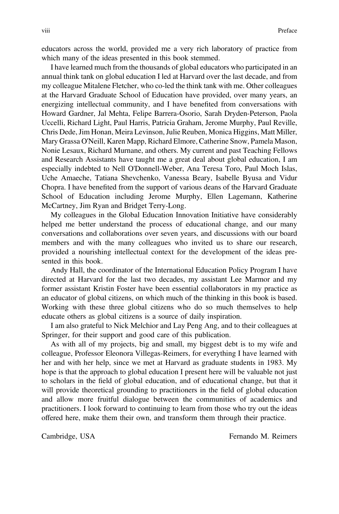educators across the world, provided me a very rich laboratory of practice from which many of the ideas presented in this book stemmed.

I have learned much from the thousands of global educators who participated in an annual think tank on global education I led at Harvard over the last decade, and from my colleague Mitalene Fletcher, who co-led the think tank with me. Other colleagues at the Harvard Graduate School of Education have provided, over many years, an energizing intellectual community, and I have benefited from conversations with Howard Gardner, Jal Mehta, Felipe Barrera-Osorio, Sarah Dryden-Peterson, Paola Uccelli, Richard Light, Paul Harris, Patricia Graham, Jerome Murphy, Paul Reville, Chris Dede, Jim Honan, Meira Levinson, Julie Reuben, Monica Higgins, Matt Miller, Mary Grassa O'Neill, Karen Mapp, Richard Elmore, Catherine Snow, Pamela Mason, Nonie Lesaux, Richard Murnane, and others. My current and past Teaching Fellows and Research Assistants have taught me a great deal about global education, I am especially indebted to Nell O'Donnell-Weber, Ana Teresa Toro, Paul Moch Islas, Uche Amaeche, Tatiana Shevchenko, Vanessa Beary, Isabelle Byusa and Vidur Chopra. I have benefited from the support of various deans of the Harvard Graduate School of Education including Jerome Murphy, Ellen Lagemann, Katherine McCartney, Jim Ryan and Bridget Terry-Long.

My colleagues in the Global Education Innovation Initiative have considerably helped me better understand the process of educational change, and our many conversations and collaborations over seven years, and discussions with our board members and with the many colleagues who invited us to share our research, provided a nourishing intellectual context for the development of the ideas presented in this book.

Andy Hall, the coordinator of the International Education Policy Program I have directed at Harvard for the last two decades, my assistant Lee Marmor and my former assistant Kristin Foster have been essential collaborators in my practice as an educator of global citizens, on which much of the thinking in this book is based. Working with these three global citizens who do so much themselves to help educate others as global citizens is a source of daily inspiration.

I am also grateful to Nick Melchior and Lay Peng Ang, and to their colleagues at Springer, for their support and good care of this publication.

As with all of my projects, big and small, my biggest debt is to my wife and colleague, Professor Eleonora Villegas-Reimers, for everything I have learned with her and with her help, since we met at Harvard as graduate students in 1983. My hope is that the approach to global education I present here will be valuable not just to scholars in the field of global education, and of educational change, but that it will provide theoretical grounding to practitioners in the field of global education and allow more fruitful dialogue between the communities of academics and practitioners. I look forward to continuing to learn from those who try out the ideas offered here, make them their own, and transform them through their practice.

Cambridge, USA Fernando M. Reimers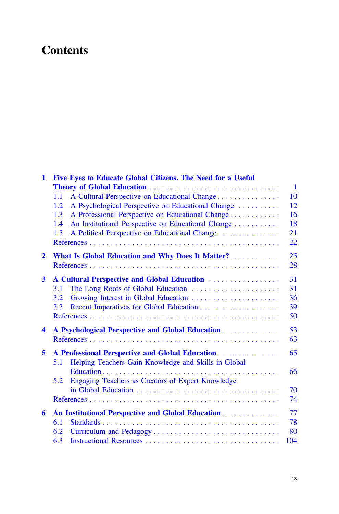## **Contents**

| 1                    | Five Eyes to Educate Global Citizens. The Need for a Useful<br>Theory of Global Education<br>$\mathbf{1}$      |     |  |
|----------------------|----------------------------------------------------------------------------------------------------------------|-----|--|
|                      | A Cultural Perspective on Educational Change<br>1.1                                                            | 10  |  |
|                      | A Psychological Perspective on Educational Change<br>1.2                                                       | 12  |  |
|                      | A Professional Perspective on Educational Change<br>1.3                                                        | 16  |  |
|                      | An Institutional Perspective on Educational Change<br>1.4                                                      | 18  |  |
|                      | A Political Perspective on Educational Change<br>1.5                                                           | 21  |  |
|                      |                                                                                                                | 22  |  |
| $\mathbf{2}$         | What Is Global Education and Why Does It Matter?                                                               | 25  |  |
|                      |                                                                                                                | 28  |  |
| 3                    | A Cultural Perspective and Global Education                                                                    | 31  |  |
|                      | The Long Roots of Global Education<br>3.1                                                                      | 31  |  |
|                      | 3.2                                                                                                            | 36  |  |
|                      | 3.3                                                                                                            | 39  |  |
|                      |                                                                                                                | 50  |  |
| $\blacktriangleleft$ | A Psychological Perspective and Global Education                                                               | 53  |  |
|                      |                                                                                                                | 63  |  |
|                      |                                                                                                                |     |  |
| 5                    | A Professional Perspective and Global Education<br>Helping Teachers Gain Knowledge and Skills in Global<br>5.1 | 65  |  |
|                      |                                                                                                                | 66  |  |
|                      | Engaging Teachers as Creators of Expert Knowledge<br>5.2                                                       |     |  |
|                      |                                                                                                                | 70  |  |
|                      |                                                                                                                | 74  |  |
| 6                    | An Institutional Perspective and Global Education                                                              | 77  |  |
|                      | 6.1                                                                                                            | 78  |  |
|                      | Curriculum and Pedagogy<br>6.2                                                                                 | 80  |  |
|                      | 6.3                                                                                                            | 104 |  |